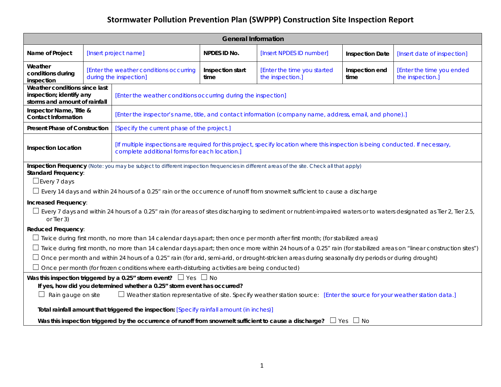| <b>General Information</b>                                                                                                                                                                                                                                                                                                                                                                                                                                                                                                                                |                                                                   |                                             |                                                                                                                                  |                                                 |                        |                                               |  |  |
|-----------------------------------------------------------------------------------------------------------------------------------------------------------------------------------------------------------------------------------------------------------------------------------------------------------------------------------------------------------------------------------------------------------------------------------------------------------------------------------------------------------------------------------------------------------|-------------------------------------------------------------------|---------------------------------------------|----------------------------------------------------------------------------------------------------------------------------------|-------------------------------------------------|------------------------|-----------------------------------------------|--|--|
| Name of Project                                                                                                                                                                                                                                                                                                                                                                                                                                                                                                                                           | [Insert project name]                                             |                                             | NPDES ID No.                                                                                                                     | [Insert NPDES ID number]                        | <b>Inspection Date</b> | [Insert date of inspection]                   |  |  |
| Weather<br>conditions during<br>inspection                                                                                                                                                                                                                                                                                                                                                                                                                                                                                                                | [Enter the weather conditions occurring<br>during the inspection] |                                             | Inspection start<br>time                                                                                                         | [Enter the time you started<br>the inspection.] | Inspection end<br>time | [Enter the time you ended<br>the inspection.] |  |  |
| Weather conditions since last<br>inspection; identify any<br>storms and amount of rainfall                                                                                                                                                                                                                                                                                                                                                                                                                                                                |                                                                   |                                             | [Enter the weather conditions occurring during the inspection]                                                                   |                                                 |                        |                                               |  |  |
| Inspector Name, Title &<br><b>Contact Information</b>                                                                                                                                                                                                                                                                                                                                                                                                                                                                                                     |                                                                   |                                             | [Enter the inspector's name, title, and contact information (company name, address, email, and phone).]                          |                                                 |                        |                                               |  |  |
| <b>Present Phase of Construction</b>                                                                                                                                                                                                                                                                                                                                                                                                                                                                                                                      |                                                                   | [Specify the current phase of the project.] |                                                                                                                                  |                                                 |                        |                                               |  |  |
| <b>Inspection Location</b><br>complete additional forms for each location.]                                                                                                                                                                                                                                                                                                                                                                                                                                                                               |                                                                   |                                             | [If multiple inspections are required for this project, specify location where this inspection is being conducted. If necessary, |                                                 |                        |                                               |  |  |
| Inspection Frequency (Note: you may be subject to different inspection frequencies in different areas of the site. Check all that apply)<br><b>Standard Frequency:</b><br>$\Box$ Every 7 days<br>$\Box$ Every 14 days and within 24 hours of a 0.25" rain or the occurrence of runoff from snowmelt sufficient to cause a discharge<br>Increased Frequency:<br>$\Box$ Every 7 days and within 24 hours of a 0.25" rain (for areas of sites discharging to sediment or nutrient-impaired waters or to waters designated as Tier 2, Tier 2.5,<br>or Tier 3) |                                                                   |                                             |                                                                                                                                  |                                                 |                        |                                               |  |  |
| <b>Reduced Frequency:</b>                                                                                                                                                                                                                                                                                                                                                                                                                                                                                                                                 |                                                                   |                                             |                                                                                                                                  |                                                 |                        |                                               |  |  |
| □ Iwice during first month, no more than 14 calendar days apart; then once per month after first month; (for stabilized areas)                                                                                                                                                                                                                                                                                                                                                                                                                            |                                                                   |                                             |                                                                                                                                  |                                                 |                        |                                               |  |  |
| $\Box$ Twice during first month, no more than 14 calendar days apart; then once more within 24 hours of a 0.25" rain (for stabilized areas on "linear construction sites")                                                                                                                                                                                                                                                                                                                                                                                |                                                                   |                                             |                                                                                                                                  |                                                 |                        |                                               |  |  |
| $\Box$ Once per month and within 24 hours of a 0.25" rain (for arid, semi-arid, or drought-stricken areas during seasonally dry periods or during drought)                                                                                                                                                                                                                                                                                                                                                                                                |                                                                   |                                             |                                                                                                                                  |                                                 |                        |                                               |  |  |
| $\Box$ Once per month (for frozen conditions where earth-disturbing activities are being conducted)                                                                                                                                                                                                                                                                                                                                                                                                                                                       |                                                                   |                                             |                                                                                                                                  |                                                 |                        |                                               |  |  |
| Was this inspection triggered by a 0.25" storm event? $\Box$ Yes $\Box$ No                                                                                                                                                                                                                                                                                                                                                                                                                                                                                |                                                                   |                                             |                                                                                                                                  |                                                 |                        |                                               |  |  |
| If yes, how did you determined whether a 0.25" storm event has occurred?<br>$\Box$ Rain gauge on site<br>$\Box$ Weather station representative of site. Specify weather station source: [Enter the source for your weather station data.]                                                                                                                                                                                                                                                                                                                 |                                                                   |                                             |                                                                                                                                  |                                                 |                        |                                               |  |  |
|                                                                                                                                                                                                                                                                                                                                                                                                                                                                                                                                                           |                                                                   |                                             |                                                                                                                                  |                                                 |                        |                                               |  |  |
| Total rainfall amount that triggered the inspection: [Specify rainfall amount (in inches)]                                                                                                                                                                                                                                                                                                                                                                                                                                                                |                                                                   |                                             |                                                                                                                                  |                                                 |                        |                                               |  |  |
| Was this inspection triggered by the occurrence of runoff from snowmelt sufficient to cause a discharge? $\Box$ Yes $\Box$ No                                                                                                                                                                                                                                                                                                                                                                                                                             |                                                                   |                                             |                                                                                                                                  |                                                 |                        |                                               |  |  |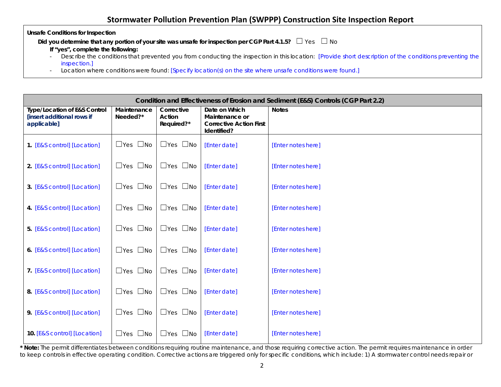**Unsafe Conditions for Inspection**

**Did you determine that any portion of your site was unsafe for inspection per CGP Part 4.1.5?** □ Yes □ No

**If "yes", complete the following:**

- Describe the conditions that prevented you from conducting the inspection in this location: [Provide short description of the conditions preventing the inspection.]
- Location where conditions were found: [Specify location(s) on the site where unsafe conditions were found.]

| Condition and Effectiveness of Erosion and Sediment (E&S) Controls (CGP Part 2.2)    |                         |                                    |                                                                                  |                    |
|--------------------------------------------------------------------------------------|-------------------------|------------------------------------|----------------------------------------------------------------------------------|--------------------|
| <b>Type/Location of E&amp;S Control</b><br>[insert additional rows if<br>applicable] | Maintenance<br>Needed?* | Corrective<br>Action<br>Required?* | Date on Which<br>Maintenance or<br><b>Corrective Action First</b><br>Identified? | <b>Notes</b>       |
| 1. [E&S control] [Location]                                                          | $\Box$ Yes $\Box$ No    | $\Box$ Yes $\Box$ No               | [Enter date]                                                                     | [Enter notes here] |
| 2. [E&S control] [Location]                                                          | $\Box$ Yes $\Box$ No    | $\Box$ Yes $\Box$ No               | [Enter date]                                                                     | [Enter notes here] |
| 3. [E&S control] [Location]                                                          | $\Box$ Yes $\Box$ No    | $\Box$ Yes $\Box$ No               | [Enter date]                                                                     | [Enter notes here] |
| 4. [E&S control] [Location]                                                          | $\Box$ Yes $\Box$ No    | $\Box$ Yes $\Box$ No               | [Enter date]                                                                     | [Enter notes here] |
| 5. [E&S control] [Location]                                                          | $\Box$ No<br>$\Box$ Yes | $\Box$ Yes<br>$\square$ No         | [Enter date]                                                                     | [Enter notes here] |
| 6. [E&S control] [Location]                                                          | $\Box$ Yes $\Box$ No    | $\Box$ Yes $\Box$ No               | [Enter date]                                                                     | [Enter notes here] |
| 7. [E&S control] [Location]                                                          | $\Box$ Yes $\Box$ No    | $\Box$ Yes $\Box$ No               | [Enter date]                                                                     | [Enter notes here] |
| 8. [E&S control] [Location]                                                          | $\Box$ Yes $\Box$ No    | $\Box$ Yes $\Box$ No               | [Enter date]                                                                     | [Enter notes here] |
| 9. [E&S control] [Location]                                                          | $\Box$ Yes $\Box$ No    | $\Box$ Yes $\Box$ No               | [Enter date]                                                                     | [Enter notes here] |
| 10. [E&S control] [Location]                                                         | $\Box$ Yes $\Box$ No    | $\Box$ Yes $\Box$ No               | [Enter date]                                                                     | [Enter notes here] |

\* Note: The permit differentiates between conditions requiring routine maintenance, and those requiring corrective action. The permit requires maintenance in order to keep controls in effective operating condition. Corrective actions are triggered only for specific conditions, which include: 1) A stormwater control needs repair or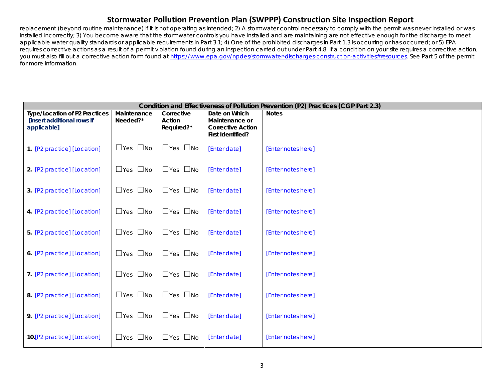replacement (beyond routine maintenance) if it is not operating as intended; 2) A stormwater control necessary to comply with the permit was never installed or was installed incorrectly; 3) You become aware that the stormwater controls you have installed and are maintaining are not effective enough for the discharge to meet applicable water quality standards or applicable requirements in Part 3.1; 4) One of the prohibited discharges in Part 1.3 is occurring or has occurred; or 5) EPA requires corrective actions as a result of a permit violation found during an inspection carried out under Part 4.8. If a condition on your site requires a corrective action, you must also fill out a corrective action form found at [https://www.epa.gov/npdes/stormwater-discharges-construction-activities#resources.](https://www.epa.gov/npdes/stormwater-discharges-construction-activities#resources) See Part 5 of the permit for more information.

| Condition and Effectiveness of Pollution Prevention (P2) Practices (CGP Part 2.3) |                              |                            |                                               |                    |
|-----------------------------------------------------------------------------------|------------------------------|----------------------------|-----------------------------------------------|--------------------|
| <b>Type/Location of P2 Practices</b><br>[insert additional rows if                | Maintenance<br>Needed?*      | Corrective<br>Action       | Date on Which<br>Maintenance or               | <b>Notes</b>       |
| applicable]                                                                       |                              | Required?*                 | <b>Corrective Action</b><br>First Identified? |                    |
| 1. [P2 practice] [Location]                                                       | $\square$ No<br>$\Box$ Yes   | $\Box$ Yes $\Box$ No       | [Enter date]                                  | [Enter notes here] |
| 2. [P2 practice] [Location]                                                       | $\Box$ Yes $\Box$ No         | $\Box$ Yes $\Box$ No       | [Enter date]                                  | [Enter notes here] |
| 3. [P2 practice] [Location]                                                       | $\Box$ Yes $\Box$ No         | $\Box$ Yes $\Box$ No       | [Enter date]                                  | [Enter notes here] |
| 4. [P2 practice] [Location]                                                       | $\Box$ Yes $\Box$ No         | $\Box$ Yes $\Box$ No       | [Enter date]                                  | [Enter notes here] |
| 5. [P2 practice] [Location]                                                       | $\Box$ Yes $\Box$ No         | $\Box$ Yes $\Box$ No       | [Enter date]                                  | [Enter notes here] |
| 6. [P2 practice] [Location]                                                       | $\square$ No<br>$\sqcup$ Yes | $\Box$ Yes<br>$\square$ No | [Enter date]                                  | [Enter notes here] |
| 7. [P2 practice] [Location]                                                       | $\Box$ Yes $\Box$ No         | $\Box$ Yes $\Box$ No       | [Enter date]                                  | [Enter notes here] |
| 8. [P2 practice] [Location]                                                       | $\Box$ Yes $\Box$ No         | $\Box$ Yes $\Box$ No       | [Enter date]                                  | [Enter notes here] |
| 9. [P2 practice] [Location]                                                       | $\Box$ Yes $\Box$ No         | $\Box$ Yes $\Box$ No       | [Enter date]                                  | [Enter notes here] |
| 10. [P2 practice] [Location]                                                      | $\square$ No<br>$\Box$ Yes   | $\Box$ Yes $\Box$ No       | [Enter date]                                  | [Enter notes here] |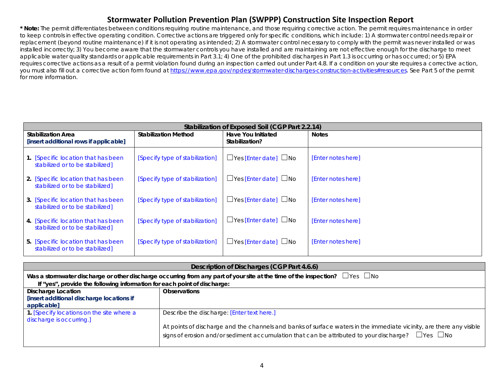**\* Note:** The permit differentiates between conditions requiring routine maintenance, and those requiring corrective action. The permit requires maintenance in order to keep controls in effective operating condition. Corrective actions are triggered only for specific conditions, which include: 1) A stormwater control needs repair or replacement (beyond routine maintenance) if it is not operating as intended; 2) A stormwater control necessary to comply with the permit was never installed or was installed incorrectly; 3) You become aware that the stormwater controls you have installed and are maintaining are not effective enough for the discharge to meet applicable water quality standards or applicable requirements in Part 3.1; 4) One of the prohibited discharges in Part 1.3 is occurring or has occurred; or 5) EPA requires corrective actions as a result of a permit violation found during an inspection carried out under Part 4.8. If a condition on your site requires a corrective action, you must also fill out a corrective action form found at [https://www.epa.gov/npdes/stormwater-discharges-construction-activities#resources.](https://www.epa.gov/npdes/stormwater-discharges-construction-activities#resources) See Part 5 of the permit for more information.

| Stabilization of Exposed Soil (CGP Part 2.2.14)                        |                                                                     |                                   |                    |  |  |  |
|------------------------------------------------------------------------|---------------------------------------------------------------------|-----------------------------------|--------------------|--|--|--|
| <b>Stabilization Area</b><br>[insert additional rows if applicable]    | <b>Stabilization Method</b><br>Have You Initiated<br>Stabilization? |                                   | <b>Notes</b>       |  |  |  |
| 1. [Specific location that has been<br>stabilized or to be stabilized] | [Specify type of stabilization]                                     | $\Box$ Yes [Enter date] $\Box$ No | [Enter notes here] |  |  |  |
| 2. [Specific location that has been<br>stabilized or to be stabilized] | [Specify type of stabilization]                                     | $\Box$ Yes [Enter date] $\Box$ No | [Enter notes here] |  |  |  |
| 3. [Specific location that has been<br>stabilized or to be stabilized] | [Specify type of stabilization]                                     | $\Box$ Yes [Enter date] $\Box$ No | [Enter notes here] |  |  |  |
| 4. [Specific location that has been<br>stabilized or to be stabilized] | [Specify type of stabilization]                                     | $\Box$ Yes [Enter date] $\Box$ No | [Enter notes here] |  |  |  |
| 5. [Specific location that has been<br>stabilized or to be stabilized] | [Specify type of stabilization]                                     | $\Box$ Yes [Enter date] $\Box$ No | [Enter notes here] |  |  |  |

| Description of Discharges (CGP Part 4.6.6)                               |                                                                                                                                        |  |  |
|--------------------------------------------------------------------------|----------------------------------------------------------------------------------------------------------------------------------------|--|--|
|                                                                          | Was a stormwater discharge or other discharge occurring from any part of your site at the time of the inspection? $\Box$ Yes $\Box$ No |  |  |
| If "yes", provide the following information for each point of discharge: |                                                                                                                                        |  |  |
| <b>Discharge Location</b>                                                | <b>Observations</b>                                                                                                                    |  |  |
| [insert additional discharge locations if                                |                                                                                                                                        |  |  |
| applicable]                                                              |                                                                                                                                        |  |  |
| 1. [Specify locations on the site where a                                | Describe the discharge: [Enter text here.]                                                                                             |  |  |
| discharge is occurring.]                                                 |                                                                                                                                        |  |  |
|                                                                          | At points of discharge and the channels and banks of surface waters in the immediate vicinity, are there any visible                   |  |  |
|                                                                          | signs of erosion and/or sediment accumulation that can be attributed to your discharge? $\Box$ Yes $\Box$ No                           |  |  |
|                                                                          |                                                                                                                                        |  |  |